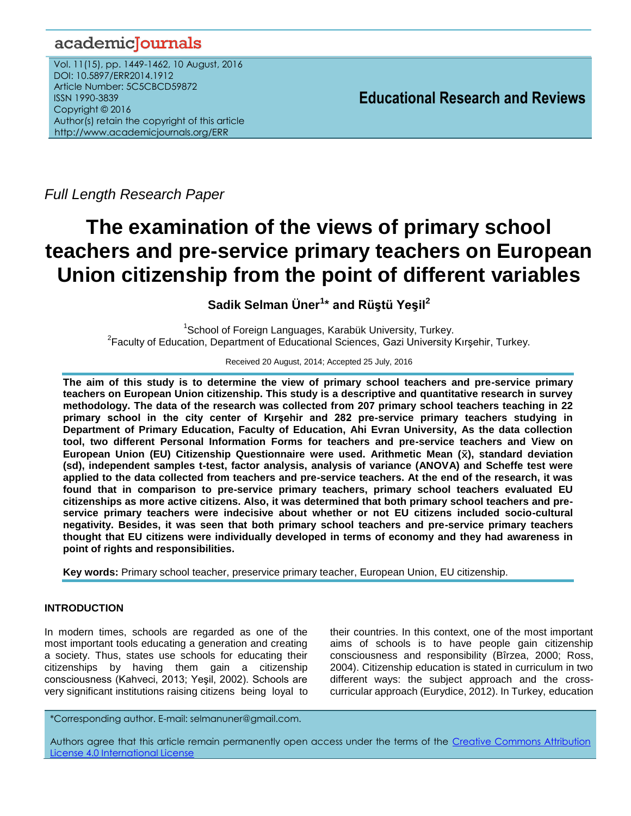## academicJournals

Vol. 11(15), pp. 1449-1462, 10 August, 2016 DOI: 10.5897/ERR2014.1912 Article Number: 5C5CBCD59872 ISSN 1990-3839 Copyright © 2016 Author(s) retain the copyright of this article http://www.academicjournals.org/ERR

**Educational Research and Reviews**

*Full Length Research Paper*

# **The examination of the views of primary school teachers and pre-service primary teachers on European Union citizenship from the point of different variables**

**Sadik Selman Üner<sup>1</sup> \* and Rüştü Yeşil<sup>2</sup>**

<sup>1</sup>School of Foreign Languages, Karabük University, Turkey. <sup>2</sup> Faculty of Education, Department of Educational Sciences, Gazi University Kırşehir, Turkey.

Received 20 August, 2014; Accepted 25 July, 2016

**The aim of this study is to determine the view of primary school teachers and pre-service primary teachers on European Union citizenship. This study is a descriptive and quantitative research in survey methodology. The data of the research was collected from 207 primary school teachers teaching in 22 primary school in the city center of Kırşehir and 282 pre-service primary teachers studying in Department of Primary Education, Faculty of Education, Ahi Evran University, As the data collection tool, two different Personal Information Forms for teachers and pre-service teachers and View on European Union (EU) Citizenship Questionnaire were used. Arithmetic Mean ( ), standard deviation (sd), independent samples t-test, factor analysis, analysis of variance (ANOVA) and Scheffe test were applied to the data collected from teachers and pre-service teachers. At the end of the research, it was found that in comparison to pre-service primary teachers, primary school teachers evaluated EU citizenships as more active citizens. Also, it was determined that both primary school teachers and preservice primary teachers were indecisive about whether or not EU citizens included socio-cultural negativity. Besides, it was seen that both primary school teachers and pre-service primary teachers thought that EU citizens were individually developed in terms of economy and they had awareness in point of rights and responsibilities.**

**Key words:** Primary school teacher, preservice primary teacher, European Union, EU citizenship.

## **INTRODUCTION**

In modern times, schools are regarded as one of the most important tools educating a generation and creating a society. Thus, states use schools for educating their citizenships by having them gain a citizenship consciousness (Kahveci, 2013; Yeşil, 2002). Schools are very significant institutions raising citizens being loyal to their countries. In this context, one of the most important aims of schools is to have people gain citizenship consciousness and responsibility (Bîrzea, 2000; Ross, 2004). Citizenship education is stated in curriculum in two different ways: the subject approach and the crosscurricular approach (Eurydice, 2012). In Turkey, education

\*Corresponding author. E-mail: selmanuner@gmail.com.

Authors agree that this article remain permanently open access under the terms of the Creative Commons Attribution [License 4.0 International License](file://192.168.1.24/reading/Arts%20and%20Education/ERR/2014/sept/read/Correction%20Pdf%201/ERR-17.04.14-1816/Publication/Creative%20Co)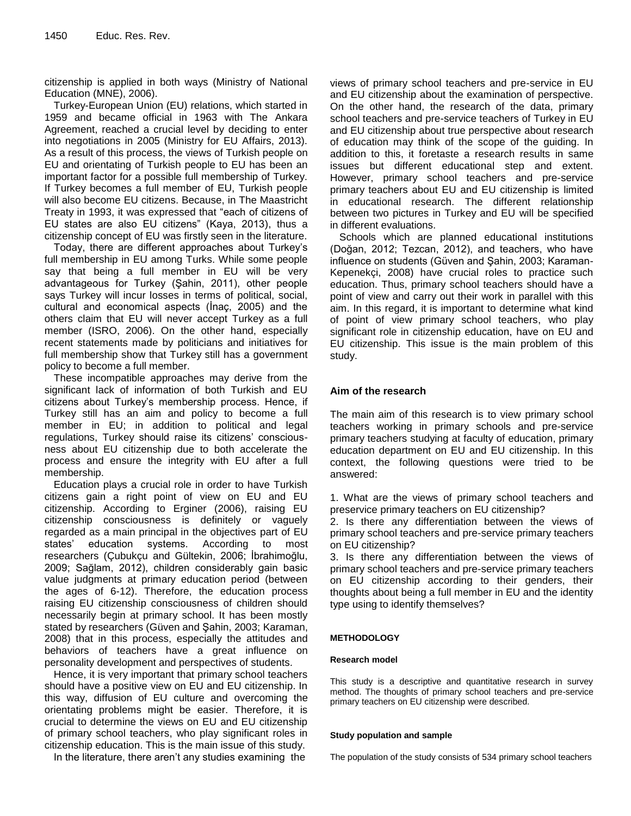citizenship is applied in both ways (Ministry of National Education (MNE), 2006).

Turkey-European Union (EU) relations, which started in 1959 and became official in 1963 with The Ankara Agreement, reached a crucial level by deciding to enter into negotiations in 2005 (Ministry for EU Affairs, 2013). As a result of this process, the views of Turkish people on EU and orientating of Turkish people to EU has been an important factor for a possible full membership of Turkey. If Turkey becomes a full member of EU, Turkish people will also become EU citizens. Because, in The Maastricht Treaty in 1993, it was expressed that "each of citizens of EU states are also EU citizens" (Kaya, 2013), thus a citizenship concept of EU was firstly seen in the literature.

Today, there are different approaches about Turkey's full membership in EU among Turks. While some people say that being a full member in EU will be very advantageous for Turkey (Şahin, 2011), other people says Turkey will incur losses in terms of political, social, cultural and economical aspects (İnaç, 2005) and the others claim that EU will never accept Turkey as a full member (ISRO, 2006). On the other hand, especially recent statements made by politicians and initiatives for full membership show that Turkey still has a government policy to become a full member.

These incompatible approaches may derive from the significant lack of information of both Turkish and EU citizens about Turkey's membership process. Hence, if Turkey still has an aim and policy to become a full member in EU; in addition to political and legal regulations, Turkey should raise its citizens' consciousness about EU citizenship due to both accelerate the process and ensure the integrity with EU after a full membership.

Education plays a crucial role in order to have Turkish citizens gain a right point of view on EU and EU citizenship. According to Erginer (2006), raising EU citizenship consciousness is definitely or vaguely regarded as a main principal in the objectives part of EU states' education systems. According to most researchers (Çubukçu and Gültekin, 2006; İbrahimoğlu, 2009; Sağlam, 2012), children considerably gain basic value judgments at primary education period (between the ages of 6-12). Therefore, the education process raising EU citizenship consciousness of children should necessarily begin at primary school. It has been mostly stated by researchers (Güven and Şahin, 2003; Karaman, 2008) that in this process, especially the attitudes and behaviors of teachers have a great influence on personality development and perspectives of students.

Hence, it is very important that primary school teachers should have a positive view on EU and EU citizenship. In this way, diffusion of EU culture and overcoming the orientating problems might be easier. Therefore, it is crucial to determine the views on EU and EU citizenship of primary school teachers, who play significant roles in citizenship education. This is the main issue of this study.

In the literature, there aren't any studies examining the

views of primary school teachers and pre-service in EU and EU citizenship about the examination of perspective. On the other hand, the research of the data, primary school teachers and pre-service teachers of Turkey in EU and EU citizenship about true perspective about research of education may think of the scope of the guiding. In addition to this, it foretaste a research results in same issues but different educational step and extent. However, primary school teachers and pre-service primary teachers about EU and EU citizenship is limited in educational research. The different relationship between two pictures in Turkey and EU will be specified in different evaluations.

Schools which are planned educational institutions (Doğan, 2012; Tezcan, 2012), and teachers, who have influence on students (Güven and Şahin, 2003; Karaman-Kepenekçi, 2008) have crucial roles to practice such education. Thus, primary school teachers should have a point of view and carry out their work in parallel with this aim. In this regard, it is important to determine what kind of point of view primary school teachers, who play significant role in citizenship education, have on EU and EU citizenship. This issue is the main problem of this study.

## **Aim of the research**

The main aim of this research is to view primary school teachers working in primary schools and pre-service primary teachers studying at faculty of education, primary education department on EU and EU citizenship. In this context, the following questions were tried to be answered:

1. What are the views of primary school teachers and preservice primary teachers on EU citizenship?

2. Is there any differentiation between the views of primary school teachers and pre-service primary teachers on EU citizenship?

3. Is there any differentiation between the views of primary school teachers and pre-service primary teachers on EU citizenship according to their genders, their thoughts about being a full member in EU and the identity type using to identify themselves?

## **METHODOLOGY**

## **Research model**

This study is a descriptive and quantitative research in survey method. The thoughts of primary school teachers and pre-service primary teachers on EU citizenship were described.

## **Study population and sample**

The population of the study consists of 534 primary school teachers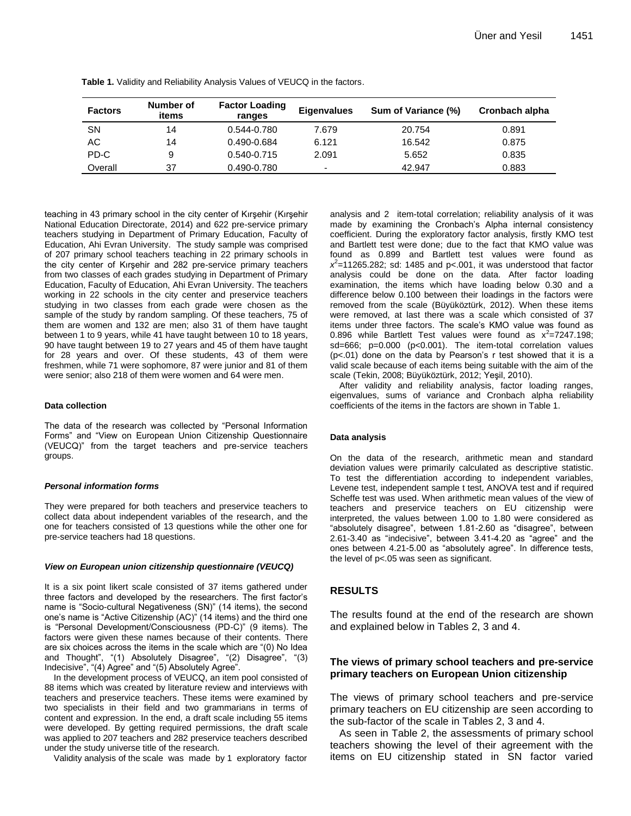| <b>Factors</b> | Number of<br>items | <b>Factor Loading</b><br>ranges | <b>Eigenvalues</b>       | Sum of Variance (%) | Cronbach alpha |
|----------------|--------------------|---------------------------------|--------------------------|---------------------|----------------|
| <b>SN</b>      | 14                 | 0.544-0.780                     | 7.679                    | 20.754              | 0.891          |
| AC.            | 14                 | 0.490-0.684                     | 6.121                    | 16.542              | 0.875          |
| PD-C           |                    | 0.540-0.715                     | 2.091                    | 5.652               | 0.835          |
| Overall        | 37                 | 0.490-0.780                     | $\overline{\phantom{0}}$ | 42.947              | 0.883          |

**Table 1.** Validity and Reliability Analysis Values of VEUCQ in the factors.

teaching in 43 primary school in the city center of Kırşehir (Kırşehir National Education Directorate, 2014) and 622 pre-service primary teachers studying in Department of Primary Education, Faculty of Education, Ahi Evran University. The study sample was comprised of 207 primary school teachers teaching in 22 primary schools in the city center of Kırşehir and 282 pre-service primary teachers from two classes of each grades studying in Department of Primary Education, Faculty of Education, Ahi Evran University. The teachers working in 22 schools in the city center and preservice teachers studying in two classes from each grade were chosen as the sample of the study by random sampling. Of these teachers, 75 of them are women and 132 are men; also 31 of them have taught between 1 to 9 years, while 41 have taught between 10 to 18 years, 90 have taught between 19 to 27 years and 45 of them have taught for 28 years and over. Of these students, 43 of them were freshmen, while 71 were sophomore, 87 were junior and 81 of them were senior; also 218 of them were women and 64 were men.

#### **Data collection**

The data of the research was collected by "Personal Information Forms" and "View on European Union Citizenship Questionnaire (VEUCQ)" from the target teachers and pre-service teachers groups.

#### *Personal information forms*

They were prepared for both teachers and preservice teachers to collect data about independent variables of the research, and the one for teachers consisted of 13 questions while the other one for pre-service teachers had 18 questions.

#### *View on European union citizenship questionnaire (VEUCQ)*

It is a six point likert scale consisted of 37 items gathered under three factors and developed by the researchers. The first factor's name is "Socio-cultural Negativeness (SN)" (14 items), the second one's name is "Active Citizenship (AC)" (14 items) and the third one is "Personal Development/Consciousness (PD-C)" (9 items). The factors were given these names because of their contents. There are six choices across the items in the scale which are "(0) No Idea and Thought", "(1) Absolutely Disagree", "(2) Disagree", "(3) Indecisive", "(4) Agree" and "(5) Absolutely Agree".

In the development process of VEUCQ, an item pool consisted of 88 items which was created by literature review and interviews with teachers and preservice teachers. These items were examined by two specialists in their field and two grammarians in terms of content and expression. In the end, a draft scale including 55 items were developed. By getting required permissions, the draft scale was applied to 207 teachers and 282 preservice teachers described under the study universe title of the research.

Validity analysis of the scale was made by 1 exploratory factor

analysis and 2 item-total correlation; reliability analysis of it was made by examining the Cronbach's Alpha internal consistency coefficient. During the exploratory factor analysis, firstly KMO test and Bartlett test were done; due to the fact that KMO value was found as 0.899 and Bartlett test values were found as  $x^2$ =11265.282; sd: 1485 and p<.001, it was understood that factor analysis could be done on the data. After factor loading examination, the items which have loading below 0.30 and a difference below 0.100 between their loadings in the factors were removed from the scale (Büyüköztürk, 2012). When these items were removed, at last there was a scale which consisted of 37 items under three factors. The scale's KMO value was found as 0.896 while Bartlett Test values were found as  $x^2 = 7247.198$ ; sd=666; p=0.000 (p<0.001). The item-total correlation values (p<.01) done on the data by Pearson's r test showed that it is a valid scale because of each items being suitable with the aim of the scale (Tekin, 2008; Büyüköztürk, 2012; Yeşil, 2010).

After validity and reliability analysis, factor loading ranges, eigenvalues, sums of variance and Cronbach alpha reliability coefficients of the items in the factors are shown in Table 1.

#### **Data analysis**

On the data of the research, arithmetic mean and standard deviation values were primarily calculated as descriptive statistic. To test the differentiation according to independent variables, Levene test, independent sample t test, ANOVA test and if required Scheffe test was used. When arithmetic mean values of the view of teachers and preservice teachers on EU citizenship were interpreted, the values between 1.00 to 1.80 were considered as "absolutely disagree", between 1.81-2.60 as "disagree", between 2.61-3.40 as "indecisive", between 3.41-4.20 as "agree" and the ones between 4.21-5.00 as "absolutely agree". In difference tests, the level of p<.05 was seen as significant.

#### **RESULTS**

The results found at the end of the research are shown and explained below in Tables 2, 3 and 4.

## **The views of primary school teachers and pre-service primary teachers on European Union citizenship**

The views of primary school teachers and pre-service primary teachers on EU citizenship are seen according to the sub-factor of the scale in Tables 2, 3 and 4.

As seen in Table 2, the assessments of primary school teachers showing the level of their agreement with the items on EU citizenship stated in SN factor varied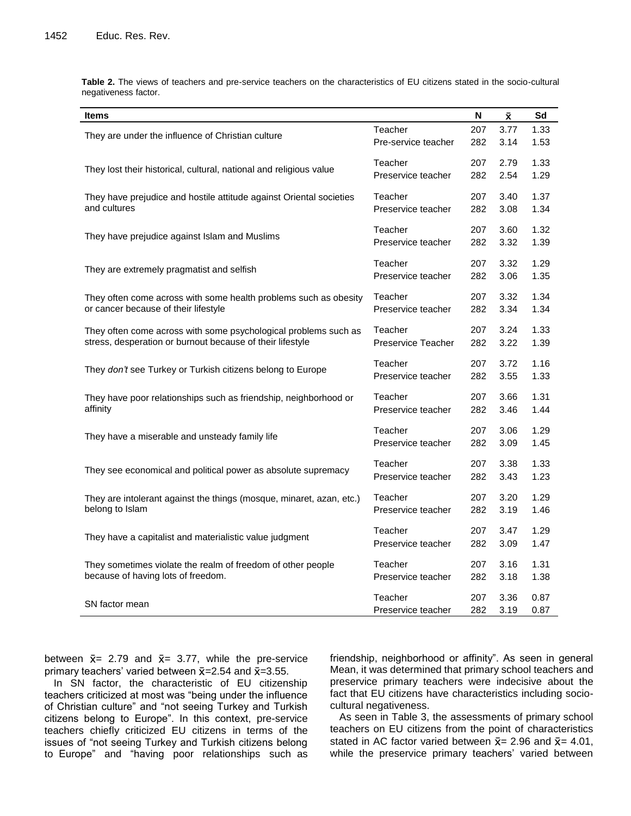**Table 2.** The views of teachers and pre-service teachers on the characteristics of EU citizens stated in the socio-cultural negativeness factor.

| <b>Items</b>                                                                                                                 |                           | N          | $\bar{\mathbf{x}}$ | Sd           |
|------------------------------------------------------------------------------------------------------------------------------|---------------------------|------------|--------------------|--------------|
|                                                                                                                              | Teacher                   | 207        | 3.77               | 1.33         |
| They are under the influence of Christian culture                                                                            | Pre-service teacher       | 282        | 3.14               | 1.53         |
|                                                                                                                              | Teacher                   | 207        | 2.79               | 1.33         |
| They lost their historical, cultural, national and religious value                                                           | Preservice teacher        | 282        | 2.54               | 1.29         |
|                                                                                                                              |                           |            |                    |              |
| They have prejudice and hostile attitude against Oriental societies                                                          | Teacher                   | 207        | 3.40               | 1.37         |
| and cultures                                                                                                                 | Preservice teacher        | 282        | 3.08               | 1.34         |
|                                                                                                                              | Teacher                   | 207        | 3.60               | 1.32         |
| They have prejudice against Islam and Muslims                                                                                | Preservice teacher        | 282        | 3.32               | 1.39         |
|                                                                                                                              |                           |            |                    |              |
| They are extremely pragmatist and selfish                                                                                    | Teacher                   | 207        | 3.32               | 1.29         |
|                                                                                                                              | Preservice teacher        | 282        | 3.06               | 1.35         |
| They often come across with some health problems such as obesity                                                             | Teacher                   | 207        | 3.32               | 1.34         |
| or cancer because of their lifestyle                                                                                         | Preservice teacher        | 282        | 3.34               | 1.34         |
|                                                                                                                              |                           |            |                    |              |
| They often come across with some psychological problems such as<br>stress, desperation or burnout because of their lifestyle | Teacher                   | 207<br>282 | 3.24               | 1.33<br>1.39 |
|                                                                                                                              | <b>Preservice Teacher</b> |            | 3.22               |              |
| They don't see Turkey or Turkish citizens belong to Europe                                                                   | Teacher                   | 207        | 3.72               | 1.16         |
|                                                                                                                              | Preservice teacher        | 282        | 3.55               | 1.33         |
| They have poor relationships such as friendship, neighborhood or                                                             | Teacher                   | 207        | 3.66               | 1.31         |
| affinity                                                                                                                     | Preservice teacher        | 282        | 3.46               | 1.44         |
|                                                                                                                              |                           |            |                    |              |
| They have a miserable and unsteady family life                                                                               | Teacher                   | 207        | 3.06               | 1.29         |
|                                                                                                                              | Preservice teacher        | 282        | 3.09               | 1.45         |
|                                                                                                                              | Teacher                   | 207        | 3.38               | 1.33         |
| They see economical and political power as absolute supremacy                                                                | Preservice teacher        | 282        | 3.43               | 1.23         |
|                                                                                                                              |                           |            |                    |              |
| They are intolerant against the things (mosque, minaret, azan, etc.)                                                         | Teacher                   | 207        | 3.20               | 1.29         |
| belong to Islam                                                                                                              | Preservice teacher        | 282        | 3.19               | 1.46         |
|                                                                                                                              | Teacher                   | 207        | 3.47               | 1.29         |
| They have a capitalist and materialistic value judgment                                                                      | Preservice teacher        | 282        | 3.09               | 1.47         |
|                                                                                                                              |                           |            |                    |              |
| They sometimes violate the realm of freedom of other people                                                                  | Teacher                   | 207        | 3.16               | 1.31         |
| because of having lots of freedom.                                                                                           | Preservice teacher        | 282        | 3.18               | 1.38         |
|                                                                                                                              | Teacher                   | 207        | 3.36               | 0.87         |
| SN factor mean                                                                                                               | Preservice teacher        | 282        | 3.19               | 0.87         |

between  $\bar{x}$  = 2.79 and  $\bar{x}$  = 3.77, while the pre-service primary teachers' varied between  $\bar{x}$ =2.54 and  $\bar{x}$ =3.55.

In SN factor, the characteristic of EU citizenship teachers criticized at most was "being under the influence of Christian culture" and "not seeing Turkey and Turkish citizens belong to Europe". In this context, pre-service teachers chiefly criticized EU citizens in terms of the issues of "not seeing Turkey and Turkish citizens belong to Europe" and "having poor relationships such as friendship, neighborhood or affinity". As seen in general Mean, it was determined that primary school teachers and preservice primary teachers were indecisive about the fact that EU citizens have characteristics including sociocultural negativeness.

As seen in Table 3, the assessments of primary school teachers on EU citizens from the point of characteristics stated in AC factor varied between  $\bar{x}$  = 2.96 and  $\bar{x}$  = 4.01, while the preservice primary teachers' varied between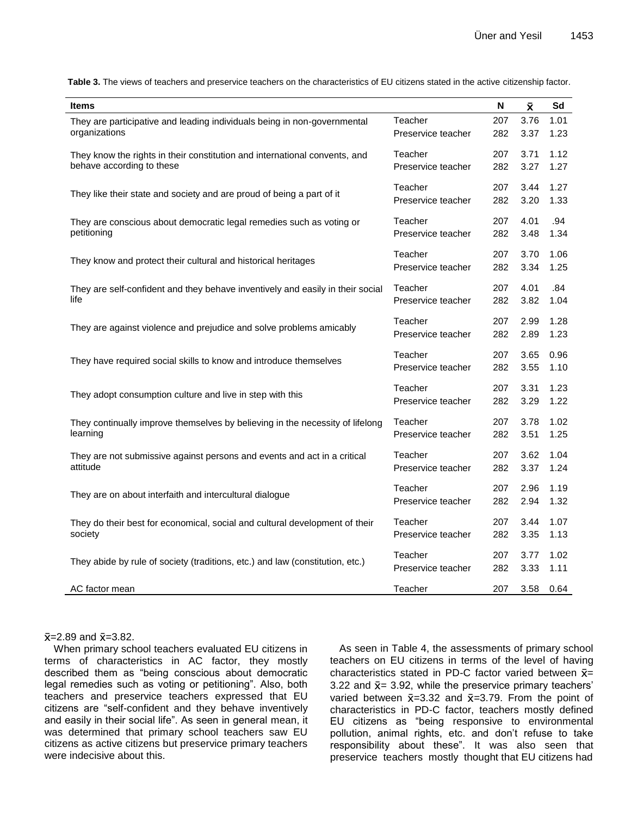**Table 3.** The views of teachers and preservice teachers on the characteristics of EU citizens stated in the active citizenship factor.

| Items                                                                                     |                    | N   | $\bar{\mathbf{x}}$ | Sd   |
|-------------------------------------------------------------------------------------------|--------------------|-----|--------------------|------|
|                                                                                           | Teacher            | 207 | 3.76               | 1.01 |
| They are participative and leading individuals being in non-governmental<br>organizations | Preservice teacher | 282 | 3.37               | 1.23 |
|                                                                                           |                    |     |                    |      |
| They know the rights in their constitution and international convents, and                | Teacher            | 207 | 3.71               | 1.12 |
| behave according to these                                                                 | Preservice teacher | 282 | 3.27               | 1.27 |
|                                                                                           | Teacher            | 207 | 3.44               | 1.27 |
| They like their state and society and are proud of being a part of it                     | Preservice teacher | 282 | 3.20               | 1.33 |
|                                                                                           |                    |     |                    |      |
| They are conscious about democratic legal remedies such as voting or                      | Teacher            | 207 | 4.01               | .94  |
| petitioning                                                                               | Preservice teacher | 282 | 3.48               | 1.34 |
|                                                                                           | Teacher            | 207 | 3.70               | 1.06 |
| They know and protect their cultural and historical heritages                             | Preservice teacher | 282 | 3.34               | 1.25 |
|                                                                                           |                    |     |                    |      |
| They are self-confident and they behave inventively and easily in their social            | Teacher            | 207 | 4.01               | .84  |
| life                                                                                      | Preservice teacher | 282 | 3.82               | 1.04 |
|                                                                                           | Teacher            | 207 | 2.99               | 1.28 |
| They are against violence and prejudice and solve problems amicably                       | Preservice teacher | 282 | 2.89               | 1.23 |
|                                                                                           |                    |     |                    |      |
| They have required social skills to know and introduce themselves                         | Teacher            | 207 | 3.65               | 0.96 |
|                                                                                           | Preservice teacher | 282 | 3.55               | 1.10 |
|                                                                                           | Teacher            | 207 | 3.31               | 1.23 |
| They adopt consumption culture and live in step with this                                 | Preservice teacher | 282 | 3.29               | 1.22 |
|                                                                                           |                    |     |                    |      |
| They continually improve themselves by believing in the necessity of lifelong             | Teacher            | 207 | 3.78               | 1.02 |
| learning                                                                                  | Preservice teacher | 282 | 3.51               | 1.25 |
| They are not submissive against persons and events and act in a critical                  | Teacher            | 207 | 3.62               | 1.04 |
| attitude                                                                                  | Preservice teacher | 282 | 3.37               | 1.24 |
|                                                                                           |                    |     |                    |      |
| They are on about interfaith and intercultural dialogue                                   | Teacher            | 207 | 2.96               | 1.19 |
|                                                                                           | Preservice teacher | 282 | 2.94               | 1.32 |
| They do their best for economical, social and cultural development of their               | Teacher            | 207 | 3.44               | 1.07 |
| society                                                                                   | Preservice teacher | 282 | 3.35               | 1.13 |
|                                                                                           |                    |     |                    |      |
| They abide by rule of society (traditions, etc.) and law (constitution, etc.)             | Teacher            | 207 | 3.77               | 1.02 |
|                                                                                           | Preservice teacher | 282 | 3.33               | 1.11 |
| AC factor mean                                                                            | Teacher            | 207 | 3.58               | 0.64 |

## $\bar{x} = 2.89$  and  $\bar{x} = 3.82$ .

When primary school teachers evaluated EU citizens in terms of characteristics in AC factor, they mostly described them as "being conscious about democratic legal remedies such as voting or petitioning". Also, both teachers and preservice teachers expressed that EU citizens are "self-confident and they behave inventively and easily in their social life". As seen in general mean, it was determined that primary school teachers saw EU citizens as active citizens but preservice primary teachers were indecisive about this.

As seen in Table 4, the assessments of primary school teachers on EU citizens in terms of the level of having characteristics stated in PD-C factor varied between  $\bar{x}$ = 3.22 and  $\bar{x}$  = 3.92, while the preservice primary teachers' varied between  $\bar{x}$ =3.32 and  $\bar{x}$ =3.79. From the point of characteristics in PD-C factor, teachers mostly defined EU citizens as "being responsive to environmental pollution, animal rights, etc. and don't refuse to take responsibility about these". It was also seen that preservice teachers mostly thought that EU citizens had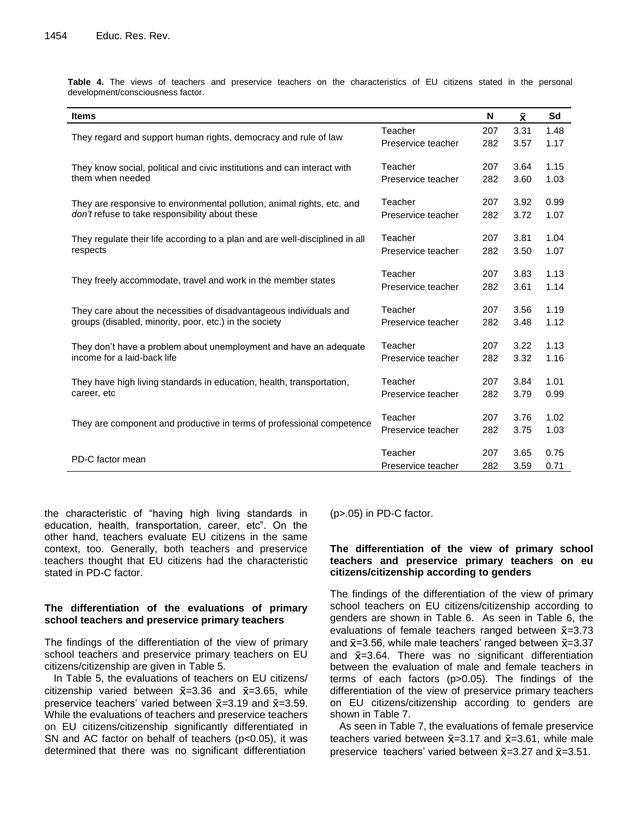**Table 4.** The views of teachers and preservice teachers on the characteristics of EU citizens stated in the personal development/consciousness factor.

| <b>Items</b>                                                                 |                    | N   | $\bar{\mathbf{x}}$ | Sd   |
|------------------------------------------------------------------------------|--------------------|-----|--------------------|------|
|                                                                              | Teacher            | 207 | 3.31               | 1.48 |
| They regard and support human rights, democracy and rule of law              | Preservice teacher | 282 | 3.57               | 1.17 |
| They know social, political and civic institutions and can interact with     | Teacher            | 207 | 3.64               | 1.15 |
| them when needed                                                             | Preservice teacher | 282 | 3.60               | 1.03 |
| They are responsive to environmental pollution, animal rights, etc. and      | Teacher            | 207 | 3.92               | 0.99 |
| <i>don't</i> refuse to take responsibility about these                       | Preservice teacher | 282 | 3.72               | 1.07 |
| They regulate their life according to a plan and are well-disciplined in all | Teacher            | 207 | 3.81               | 1.04 |
| respects                                                                     | Preservice teacher | 282 | 3.50               | 1.07 |
|                                                                              | Teacher            | 207 | 3.83               | 1.13 |
| They freely accommodate, travel and work in the member states                | Preservice teacher | 282 | 3.61               | 1.14 |
| They care about the necessities of disadvantageous individuals and           | Teacher            | 207 | 3.56               | 1.19 |
| groups (disabled, minority, poor, etc.) in the society                       | Preservice teacher | 282 | 3.48               | 1.12 |
| They don't have a problem about unemployment and have an adequate            | Teacher            | 207 | 3.22               | 1.13 |
| income for a laid-back life                                                  | Preservice teacher | 282 | 3.32               | 1.16 |
| They have high living standards in education, health, transportation,        | Teacher            | 207 | 3.84               | 1.01 |
| career, etc                                                                  | Preservice teacher | 282 | 3.79               | 0.99 |
|                                                                              | Teacher            | 207 | 3.76               | 1.02 |
| They are component and productive in terms of professional competence        | Preservice teacher | 282 | 3.75               | 1.03 |
|                                                                              | Teacher            | 207 | 3.65               | 0.75 |
| PD-C factor mean                                                             | Preservice teacher | 282 | 3.59               | 0.71 |

the characteristic of "having high living standards in education, health, transportation, career, etc". On the other hand, teachers evaluate EU citizens in the same context, too. Generally, both teachers and preservice teachers thought that EU citizens had the characteristic stated in PD-C factor.

## **The differentiation of the evaluations of primary school teachers and preservice primary teachers**

The findings of the differentiation of the view of primary school teachers and preservice primary teachers on EU citizens/citizenship are given in Table 5.

In Table 5, the evaluations of teachers on EU citizens/ citizenship varied between  $\bar{x}$ =3.36 and  $\bar{x}$ =3.65, while preservice teachers' varied between  $\bar{x}$ =3.19 and  $\bar{x}$ =3.59. While the evaluations of teachers and preservice teachers on EU citizens/citizenship significantly differentiated in SN and AC factor on behalf of teachers (p<0.05), it was determined that there was no significant differentiation

(p>.05) in PD-C factor.

## **The differentiation of the view of primary school teachers and preservice primary teachers on eu citizens/citizenship according to genders**

The findings of the differentiation of the view of primary school teachers on EU citizens/citizenship according to genders are shown in Table 6. As seen in Table 6, the evaluations of female teachers ranged between  $\bar{x}$ =3.73 and  $\bar{x}$ =3.56, while male teachers' ranged between  $\bar{x}$ =3.37 and  $\bar{x}$ =3.64. There was no significant differentiation between the evaluation of male and female teachers in terms of each factors (p>0.05). The findings of the differentiation of the view of preservice primary teachers on EU citizens/citizenship according to genders are shown in Table 7.

As seen in Table 7, the evaluations of female preservice teachers varied between  $\bar{x}$ =3.17 and  $\bar{x}$ =3.61, while male preservice teachers' varied between  $\bar{x}$ =3.27 and  $\bar{x}$ =3.51.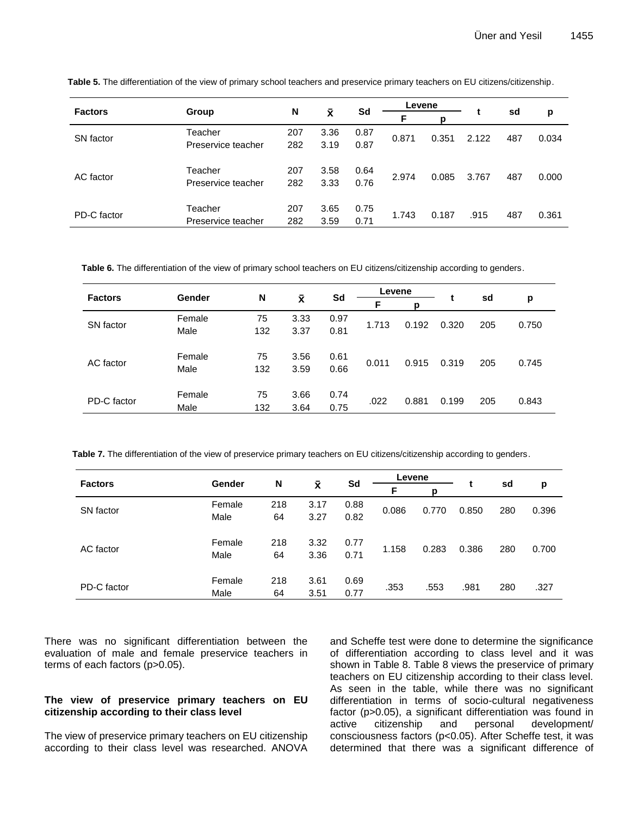|                |                    |     |          |      | Levene         |       |       |     |       |  |
|----------------|--------------------|-----|----------|------|----------------|-------|-------|-----|-------|--|
| <b>Factors</b> | Group              | N   | <b>x</b> | Sd   | F              | p     |       | sd  | p     |  |
|                | Teacher            | 207 | 3.36     | 0.87 | 0.871<br>0.351 |       | 2.122 | 487 |       |  |
| SN factor      | Preservice teacher | 282 | 3.19     | 0.87 |                |       |       |     | 0.034 |  |
|                |                    |     |          |      |                |       |       |     |       |  |
| AC factor      | Teacher            | 207 | 3.58     | 0.64 |                |       | 3.767 |     |       |  |
|                | Preservice teacher | 282 | 3.33     | 0.76 | 2.974          | 0.085 |       | 487 | 0.000 |  |
|                |                    |     |          |      |                |       |       |     |       |  |
|                | Teacher            | 207 | 3.65     | 0.75 |                |       |       |     |       |  |
| PD-C factor    | Preservice teacher | 282 | 3.59     | 0.71 | 1.743          | 0.187 | .915  | 487 | 0.361 |  |

**Table 5.** The differentiation of the view of primary school teachers and preservice primary teachers on EU citizens/citizenship.

**Table 6.** The differentiation of the view of primary school teachers on EU citizens/citizenship according to genders.

|                  |        |     |                    |      |       | Levene |       |     |       |
|------------------|--------|-----|--------------------|------|-------|--------|-------|-----|-------|
| <b>Factors</b>   | Gender | N   | $\bar{\mathbf{x}}$ | Sd   | F     | р      |       | sd  | p     |
|                  | Female | 75  | 3.33               | 0.97 | 1.713 | 0.192  | 0.320 | 205 |       |
| <b>SN</b> factor | Male   | 132 | 3.37               | 0.81 |       |        |       |     | 0.750 |
|                  |        |     |                    |      |       |        |       |     |       |
| AC factor        | Female | 75  | 3.56               | 0.61 | 0.011 | 0.915  | 0.319 | 205 | 0.745 |
|                  | Male   | 132 | 3.59               | 0.66 |       |        |       |     |       |
|                  |        |     |                    |      |       |        |       |     |       |
| PD-C factor      | Female | 75  | 3.66               | 0.74 |       |        |       |     | 0.843 |
|                  | Male   | 132 | 3.64               | 0.75 | .022  | 0.881  | 0.199 | 205 |       |

**Table 7.** The differentiation of the view of preservice primary teachers on EU citizens/citizenship according to genders.

|                | Gender |     |      |      | Levene |       |       |     |       |
|----------------|--------|-----|------|------|--------|-------|-------|-----|-------|
| <b>Factors</b> |        | N   | Χ    | Sd   | F      | n     |       | sd  | p     |
| SN factor      | Female | 218 | 3.17 | 0.88 | 0.086  | 0.770 | 0.850 | 280 |       |
|                | Male   | 64  | 3.27 | 0.82 |        |       |       |     | 0.396 |
|                |        |     |      |      |        |       |       |     |       |
| AC factor      | Female | 218 | 3.32 | 0.77 | 1.158  | 0.283 | 0.386 | 280 | 0.700 |
|                | Male   | 64  | 3.36 | 0.71 |        |       |       |     |       |
|                |        |     |      |      |        |       |       |     |       |
| PD-C factor    | Female | 218 | 3.61 | 0.69 | .353   | .553  | .981  | 280 | .327  |
|                | Male   | 64  | 3.51 | 0.77 |        |       |       |     |       |

There was no significant differentiation between the evaluation of male and female preservice teachers in terms of each factors (p>0.05).

## **The view of preservice primary teachers on EU citizenship according to their class level**

The view of preservice primary teachers on EU citizenship according to their class level was researched. ANOVA and Scheffe test were done to determine the significance of differentiation according to class level and it was shown in Table 8. Table 8 views the preservice of primary teachers on EU citizenship according to their class level. As seen in the table, while there was no significant differentiation in terms of socio-cultural negativeness factor (p>0.05), a significant differentiation was found in active citizenship and personal development/ consciousness factors (p<0.05). After Scheffe test, it was determined that there was a significant difference of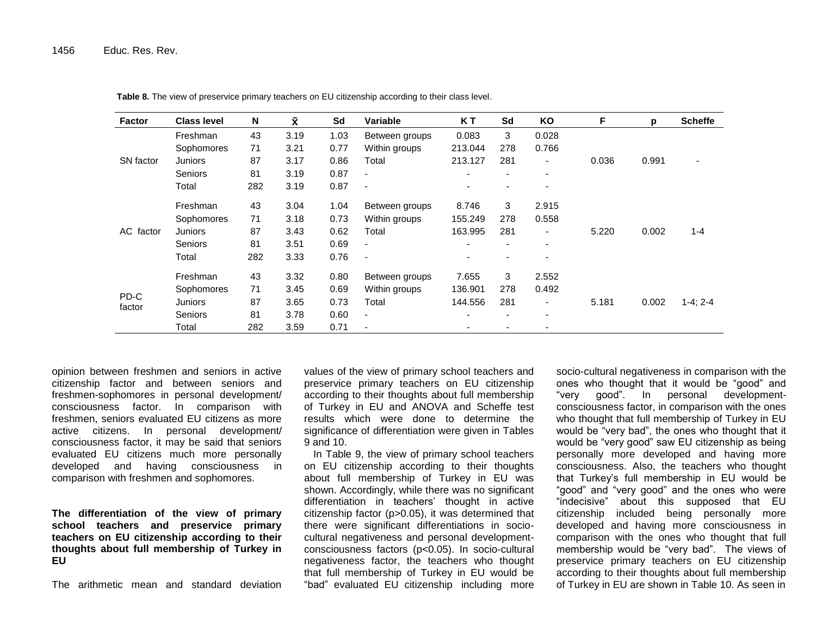| <b>Factor</b> | <b>Class level</b> | N   | $\bar{\mathbf{x}}$ | Sd   | Variable                 | ΚT             | Sd                       | KO                       | F     | p     | <b>Scheffe</b> |
|---------------|--------------------|-----|--------------------|------|--------------------------|----------------|--------------------------|--------------------------|-------|-------|----------------|
|               | Freshman           | 43  | 3.19               | 1.03 | Between groups           | 0.083          | 3                        | 0.028                    |       |       |                |
|               | Sophomores         | 71  | 3.21               | 0.77 | Within groups            | 213.044        | 278                      | 0.766                    |       |       |                |
| SN factor     | <b>Juniors</b>     | 87  | 3.17               | 0.86 | Total                    | 213.127        | 281                      | $\overline{\phantom{a}}$ | 0.036 | 0.991 | ٠              |
|               | <b>Seniors</b>     | 81  | 3.19               | 0.87 | $\blacksquare$           | ۰              | $\overline{\phantom{0}}$ | $\overline{\phantom{0}}$ |       |       |                |
|               | Total              | 282 | 3.19               | 0.87 | $\overline{\phantom{a}}$ | ۰              |                          |                          |       |       |                |
|               | Freshman           | 43  | 3.04               | 1.04 | Between groups           | 8.746          | 3                        | 2.915                    |       |       |                |
|               | Sophomores         | 71  | 3.18               | 0.73 | Within groups            | 155.249        | 278                      | 0.558                    |       |       |                |
| AC factor     | <b>Juniors</b>     | 87  | 3.43               | 0.62 | Total                    | 163.995        | 281                      | $\overline{\phantom{a}}$ | 5.220 | 0.002 | $1 - 4$        |
|               | <b>Seniors</b>     | 81  | 3.51               | 0.69 | $\blacksquare$           | $\blacksquare$ | $\overline{\phantom{0}}$ | $\overline{\phantom{0}}$ |       |       |                |
|               | Total              | 282 | 3.33               | 0.76 | $\overline{\phantom{a}}$ | $\blacksquare$ | $\overline{\phantom{0}}$ | ٠                        |       |       |                |
|               | Freshman           | 43  | 3.32               | 0.80 | Between groups           | 7.655          | 3                        | 2.552                    |       |       |                |
|               | Sophomores         | 71  | 3.45               | 0.69 | Within groups            | 136.901        | 278                      | 0.492                    |       |       |                |
| PD-C          | Juniors            | 87  | 3.65               | 0.73 | Total                    | 144.556        | 281                      | ۰.                       | 5.181 | 0.002 | $1-4; 2-4$     |
| factor        | Seniors            | 81  | 3.78               | 0.60 | $\overline{\phantom{a}}$ | -              | ٠                        | ٠                        |       |       |                |
|               | Total              | 282 | 3.59               | 0.71 | ٠                        | -              |                          |                          |       |       |                |

**Table 8.** The view of preservice primary teachers on EU citizenship according to their class level.

opinion between freshmen and seniors in active citizenship factor and between seniors and freshmen-sophomores in personal development/ consciousness factor. In comparison with freshmen, seniors evaluated EU citizens as more active citizens. In personal development/ consciousness factor, it may be said that seniors evaluated EU citizens much more personally developed and having consciousness in comparison with freshmen and sophomores.

**The differentiation of the view of primary school teachers and preservice primary teachers on EU citizenship according to their thoughts about full membership of Turkey in EU**

The arithmetic mean and standard deviation

values of the view of primary school teachers and preservice primary teachers on EU citizenship according to their thoughts about full membership of Turkey in EU and ANOVA and Scheffe test results which were done to determine the significance of differentiation were given in Tables 9 and 10.

In Table 9, the view of primary school teachers on EU citizenship according to their thoughts about full membership of Turkey in EU was shown. Accordingly, while there was no significant differentiation in teachers' thought in active citizenship factor (p>0.05), it was determined that there were significant differentiations in sociocultural negativeness and personal developmentconsciousness factors (p<0.05). In socio-cultural negativeness factor, the teachers who thought that full membership of Turkey in EU would be "bad" evaluated EU citizenship including more

socio-cultural negativeness in comparison with the ones who thought that it would be "good" and "very good". In personal developmentconsciousness factor, in comparison with the ones who thought that full membership of Turkey in EU would be "very bad", the ones who thought that it would be "very good" saw EU citizenship as being personally more developed and having more consciousness. Also, the teachers who thought that Turkey's full membership in EU would be "good" and "very good" and the ones who were "indecisive" about this supposed that EU citizenship included being personally more developed and having more consciousness in comparison with the ones who thought that full membership would be "very bad". The views of preservice primary teachers on EU citizenship according to their thoughts about full membership of Turkey in EU are shown in Table 10. As seen in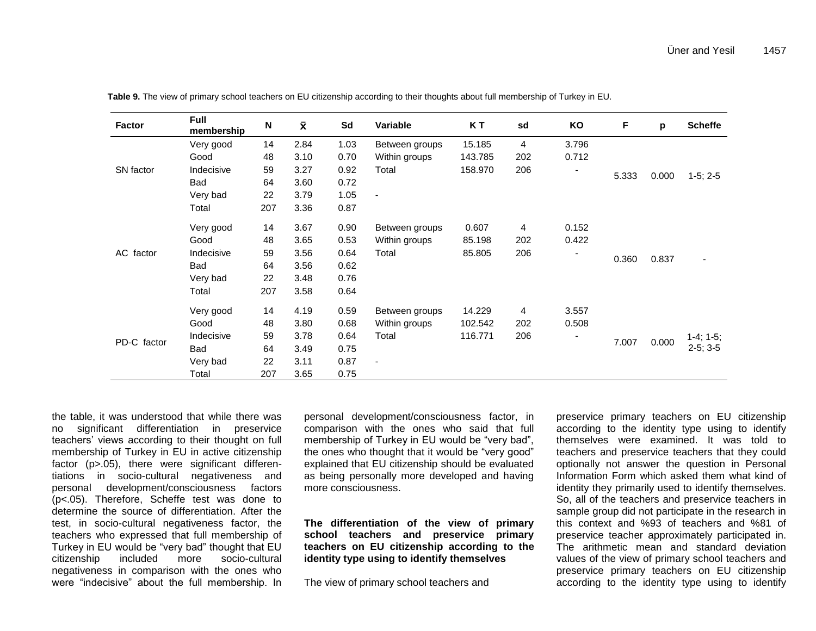| <b>Factor</b> | <b>Full</b><br>membership | N   | $\bar{\mathbf{x}}$ | Sd   | Variable                 | KT      | sd  | KO                       | F     | p     | <b>Scheffe</b> |
|---------------|---------------------------|-----|--------------------|------|--------------------------|---------|-----|--------------------------|-------|-------|----------------|
|               | Very good                 | 14  | 2.84               | 1.03 | Between groups           | 15.185  | 4   | 3.796                    |       |       |                |
|               | Good                      | 48  | 3.10               | 0.70 | Within groups            | 143.785 | 202 | 0.712                    |       |       |                |
| SN factor     | Indecisive                | 59  | 3.27               | 0.92 | Total                    | 158.970 | 206 | $\blacksquare$           |       |       |                |
|               | <b>Bad</b>                | 64  | 3.60               | 0.72 |                          |         |     |                          | 5.333 | 0.000 | $1-5; 2-5$     |
|               | Very bad                  | 22  | 3.79               | 1.05 | $\overline{\phantom{a}}$ |         |     |                          |       |       |                |
|               | Total                     | 207 | 3.36               | 0.87 |                          |         |     |                          |       |       |                |
|               | Very good                 | 14  | 3.67               | 0.90 | Between groups           | 0.607   | 4   | 0.152                    |       |       |                |
|               | Good                      | 48  | 3.65               | 0.53 | Within groups            | 85.198  | 202 | 0.422                    |       |       |                |
| AC factor     | Indecisive                | 59  | 3.56               | 0.64 | Total                    | 85.805  | 206 | $\overline{\phantom{a}}$ |       |       |                |
|               | <b>Bad</b>                | 64  | 3.56               | 0.62 |                          |         |     |                          | 0.360 | 0.837 |                |
|               | Very bad                  | 22  | 3.48               | 0.76 |                          |         |     |                          |       |       |                |
|               | Total                     | 207 | 3.58               | 0.64 |                          |         |     |                          |       |       |                |
|               | Very good                 | 14  | 4.19               | 0.59 | Between groups           | 14.229  | 4   | 3.557                    |       |       |                |
|               | Good                      | 48  | 3.80               | 0.68 | Within groups            | 102.542 | 202 | 0.508                    |       |       |                |
|               | Indecisive                | 59  | 3.78               | 0.64 | Total                    | 116.771 | 206 | $\overline{\phantom{a}}$ |       |       | $1-4; 1-5;$    |
| PD-C factor   | <b>Bad</b>                | 64  | 3.49               | 0.75 |                          |         |     |                          | 7.007 | 0.000 | $2-5; 3-5$     |
|               | Very bad                  | 22  | 3.11               | 0.87 | $\overline{\phantom{a}}$ |         |     |                          |       |       |                |
|               | Total                     | 207 | 3.65               | 0.75 |                          |         |     |                          |       |       |                |

**Table 9.** The view of primary school teachers on EU citizenship according to their thoughts about full membership of Turkey in EU.

the table, it was understood that while there was no significant differentiation in preservice teachers' views according to their thought on full membership of Turkey in EU in active citizenship factor (p>.05), there were significant differentiations in socio-cultural negativeness and personal development/consciousness factors (p<.05). Therefore, Scheffe test was done to determine the source of differentiation. After the test, in socio-cultural negativeness factor, the teachers who expressed that full membership of Turkey in EU would be "very bad" thought that EU citizenship included more socio-cultural negativeness in comparison with the ones who were "indecisive" about the full membership. In

personal development/consciousness factor, in comparison with the ones who said that full membership of Turkey in EU would be "very bad", the ones who thought that it would be "very good" explained that EU citizenship should be evaluated as being personally more developed and having more consciousness.

**The differentiation of the view of primary school teachers and preservice primary teachers on EU citizenship according to the identity type using to identify themselves** 

The view of primary school teachers and

preservice primary teachers on EU citizenship according to the identity type using to identify themselves were examined. It was told to teachers and preservice teachers that they could optionally not answer the question in Personal Information Form which asked them what kind of identity they primarily used to identify themselves. So, all of the teachers and preservice teachers in sample group did not participate in the research in this context and %93 of teachers and %81 of preservice teacher approximately participated in. The arithmetic mean and standard deviation values of the view of primary school teachers and preservice primary teachers on EU citizenship according to the identity type using to identify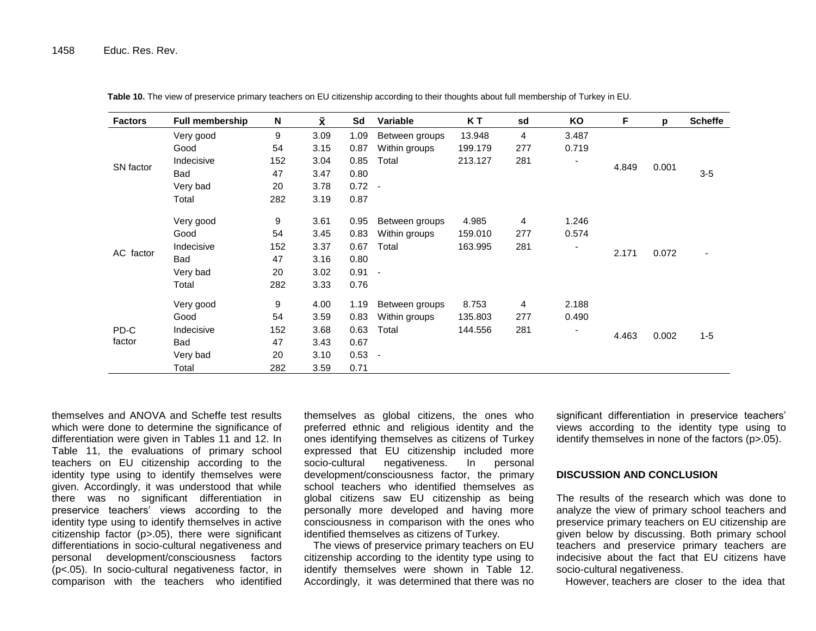| <b>Factors</b> | <b>Full membership</b> | N   | $\bar{\mathbf{x}}$ | Sd       | Variable       | KT      | sd  | ΚO                       | F     | р     | <b>Scheffe</b> |
|----------------|------------------------|-----|--------------------|----------|----------------|---------|-----|--------------------------|-------|-------|----------------|
|                | Very good              | 9   | 3.09               | 1.09     | Between groups | 13.948  | 4   | 3.487                    |       |       |                |
|                | Good                   | 54  | 3.15               | 0.87     | Within groups  | 199.179 | 277 | 0.719                    |       |       |                |
|                | Indecisive             | 152 | 3.04               | 0.85     | Total          | 213.127 | 281 | $\blacksquare$           |       |       |                |
| SN factor      | Bad                    | 47  | 3.47               | 0.80     |                |         |     |                          | 4.849 | 0.001 | $3-5$          |
|                | Very bad               | 20  | 3.78               | $0.72 -$ |                |         |     |                          |       |       |                |
|                | Total                  | 282 | 3.19               | 0.87     |                |         |     |                          |       |       |                |
|                | Very good              | 9   | 3.61               | 0.95     | Between groups | 4.985   | 4   | 1.246                    |       |       |                |
|                | Good                   | 54  | 3.45               | 0.83     | Within groups  | 159.010 | 277 | 0.574                    |       |       |                |
|                | Indecisive             | 152 | 3.37               | 0.67     | Total          | 163.995 | 281 | $\blacksquare$           |       |       |                |
| AC factor      | Bad                    | 47  | 3.16               | 0.80     |                |         |     |                          | 2.171 | 0.072 |                |
|                | Very bad               | 20  | 3.02               | 0.91     | $\sim$ $-$     |         |     |                          |       |       |                |
|                | Total                  | 282 | 3.33               | 0.76     |                |         |     |                          |       |       |                |
|                | Very good              | 9   | 4.00               | 1.19     | Between groups | 8.753   | 4   | 2.188                    |       |       |                |
|                | Good                   | 54  | 3.59               | 0.83     | Within groups  | 135.803 | 277 | 0.490                    |       |       |                |
| PD-C           | Indecisive             | 152 | 3.68               | 0.63     | Total          | 144.556 | 281 | $\overline{\phantom{a}}$ |       |       |                |
| factor         | Bad                    | 47  | 3.43               | 0.67     |                |         |     |                          | 4.463 | 0.002 | $1 - 5$        |
|                | Very bad               | 20  | 3.10               | $0.53 -$ |                |         |     |                          |       |       |                |
|                | Total                  | 282 | 3.59               | 0.71     |                |         |     |                          |       |       |                |

**Table 10.** The view of preservice primary teachers on EU citizenship according to their thoughts about full membership of Turkey in EU.

themselves and ANOVA and Scheffe test results which were done to determine the significance of differentiation were given in Tables 11 and 12. In Table 11, the evaluations of primary school teachers on EU citizenship according to the identity type using to identify themselves were given. Accordingly, it was understood that while there was no significant differentiation in preservice teachers' views according to the identity type using to identify themselves in active citizenship factor (p>.05), there were significant differentiations in socio-cultural negativeness and personal development/consciousness factors (p<.05). In socio-cultural negativeness factor, in comparison with the teachers who identified

themselves as global citizens, the ones who preferred ethnic and religious identity and the ones identifying themselves as citizens of Turkey expressed that EU citizenship included more socio-cultural negativeness. In personal development/consciousness factor, the primary school teachers who identified themselves as global citizens saw EU citizenship as being personally more developed and having more consciousness in comparison with the ones who identified themselves as citizens of Turkey.

The views of preservice primary teachers on EU citizenship according to the identity type using to identify themselves were shown in Table 12. Accordingly, it was determined that there was no

significant differentiation in preservice teachers' views according to the identity type using to identify themselves in none of the factors (p>.05).

## **DISCUSSION AND CONCLUSION**

The results of the research which was done to analyze the view of primary school teachers and preservice primary teachers on EU citizenship are given below by discussing. Both primary school teachers and preservice primary teachers are indecisive about the fact that EU citizens have socio-cultural negativeness.

However, teachers are closer to the idea that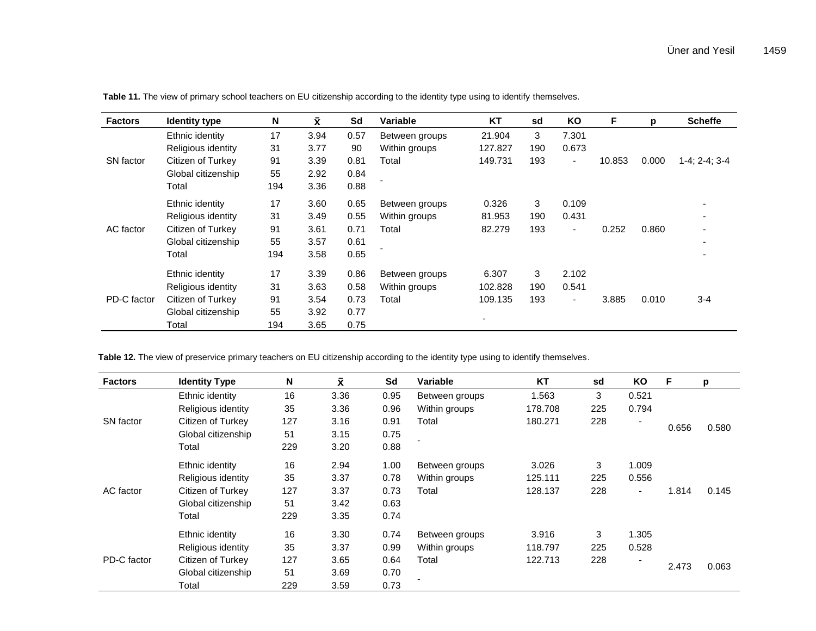| <b>Factors</b> | <b>Identity type</b> | N   | Χī   | Sd   | <b>Variable</b> | <b>KT</b>      | sd  | KO     | F      | p     | <b>Scheffe</b>        |
|----------------|----------------------|-----|------|------|-----------------|----------------|-----|--------|--------|-------|-----------------------|
|                | Ethnic identity      | 17  | 3.94 | 0.57 | Between groups  | 21.904         | 3   | 7.301  |        |       |                       |
|                | Religious identity   | 31  | 3.77 | 90   | Within groups   | 127.827        | 190 | 0.673  |        |       |                       |
| SN factor      | Citizen of Turkey    | 91  | 3.39 | 0.81 | Total           | 149.731        | 193 | ۰.     | 10.853 | 0.000 | $1-4$ ; $2-4$ ; $3-4$ |
|                | Global citizenship   | 55  | 2.92 | 0.84 |                 |                |     |        |        |       |                       |
|                | Total                | 194 | 3.36 | 0.88 |                 |                |     |        |        |       |                       |
|                | Ethnic identity      | 17  | 3.60 | 0.65 | Between groups  | 0.326          | 3   | 0.109  |        |       |                       |
| AC factor      | Religious identity   | 31  | 3.49 | 0.55 | Within groups   | 81.953         | 190 | 0.431  |        |       |                       |
|                | Citizen of Turkey    | 91  | 3.61 | 0.71 | Total           | 82.279         | 193 | ۰.     | 0.252  | 0.860 |                       |
|                | Global citizenship   | 55  | 3.57 | 0.61 |                 |                |     |        |        |       |                       |
|                | Total                | 194 | 3.58 | 0.65 |                 |                |     |        |        |       |                       |
|                | Ethnic identity      | 17  | 3.39 | 0.86 | Between groups  | 6.307          | 3   | 2.102  |        |       |                       |
|                | Religious identity   | 31  | 3.63 | 0.58 | Within groups   | 102.828        | 190 | 0.541  |        |       |                       |
| PD-C factor    | Citizen of Turkey    | 91  | 3.54 | 0.73 | Total           | 109.135        | 193 | $\sim$ | 3.885  | 0.010 | $3 - 4$               |
|                | Global citizenship   | 55  | 3.92 | 0.77 |                 |                |     |        |        |       |                       |
|                | Total                | 194 | 3.65 | 0.75 |                 | $\blacksquare$ |     |        |        |       |                       |

**Table 11.** The view of primary school teachers on EU citizenship according to the identity type using to identify themselves.

**Table 12.** The view of preservice primary teachers on EU citizenship according to the identity type using to identify themselves.

| <b>Factors</b> | <b>Identity Type</b> | N   | $\bar{\mathbf{x}}$ | Sd   | Variable       | <b>KT</b> | sd  | KO                       | F     | p     |
|----------------|----------------------|-----|--------------------|------|----------------|-----------|-----|--------------------------|-------|-------|
|                | Ethnic identity      | 16  | 3.36               | 0.95 | Between groups | 1.563     | 3   | 0.521                    |       |       |
|                | Religious identity   | 35  | 3.36               | 0.96 | Within groups  | 178.708   | 225 | 0.794                    |       |       |
| SN factor      | Citizen of Turkey    | 127 | 3.16               | 0.91 | Total          | 180.271   | 228 |                          |       |       |
|                | Global citizenship   | 51  | 3.15               | 0.75 |                |           |     |                          | 0.656 | 0.580 |
|                | Total                | 229 | 3.20               | 0.88 |                |           |     |                          |       |       |
|                | Ethnic identity      | 16  | 2.94               | 1.00 | Between groups | 3.026     | 3   | 1.009                    |       |       |
|                | Religious identity   | 35  | 3.37               | 0.78 | Within groups  | 125.111   | 225 | 0.556                    |       |       |
| AC factor      | Citizen of Turkey    | 127 | 3.37               | 0.73 | Total          | 128.137   | 228 | $\overline{\phantom{0}}$ | 1.814 | 0.145 |
|                | Global citizenship   | 51  | 3.42               | 0.63 |                |           |     |                          |       |       |
|                | Total                | 229 | 3.35               | 0.74 |                |           |     |                          |       |       |
|                | Ethnic identity      | 16  | 3.30               | 0.74 | Between groups | 3.916     | 3   | 1.305                    |       |       |
|                | Religious identity   | 35  | 3.37               | 0.99 | Within groups  | 118.797   | 225 | 0.528                    |       |       |
| PD-C factor    | Citizen of Turkey    | 127 | 3.65               | 0.64 | Total          | 122.713   | 228 |                          | 2.473 | 0.063 |
|                | Global citizenship   | 51  | 3.69               | 0.70 |                |           |     |                          |       |       |
|                | Total                | 229 | 3.59               | 0.73 |                |           |     |                          |       |       |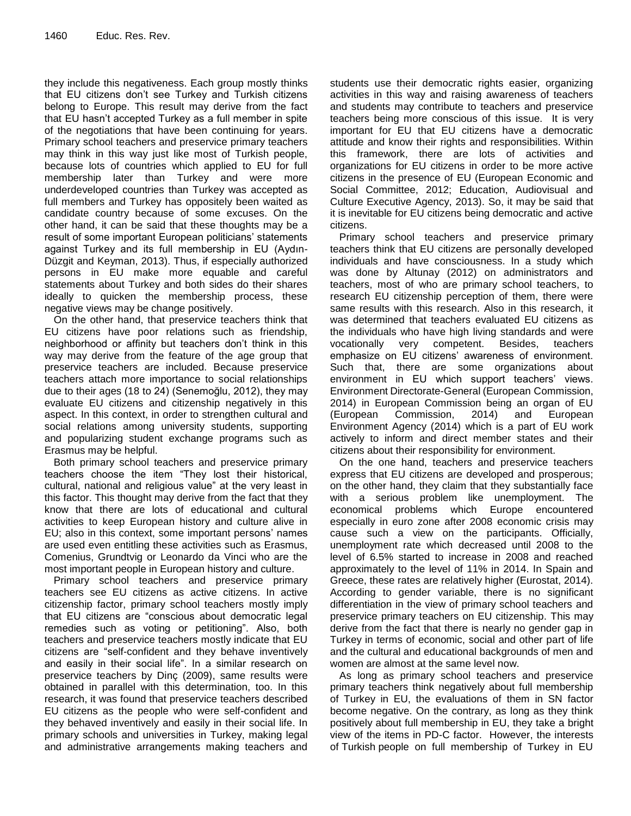they include this negativeness. Each group mostly thinks that EU citizens don't see Turkey and Turkish citizens belong to Europe. This result may derive from the fact that EU hasn't accepted Turkey as a full member in spite of the negotiations that have been continuing for years. Primary school teachers and preservice primary teachers may think in this way just like most of Turkish people, because lots of countries which applied to EU for full membership later than Turkey and were more underdeveloped countries than Turkey was accepted as full members and Turkey has oppositely been waited as candidate country because of some excuses. On the other hand, it can be said that these thoughts may be a result of some important European politicians' statements against Turkey and its full membership in EU (Aydın-Düzgit and Keyman, 2013). Thus, if especially authorized persons in EU make more equable and careful statements about Turkey and both sides do their shares ideally to quicken the membership process, these negative views may be change positively.

On the other hand, that preservice teachers think that EU citizens have poor relations such as friendship, neighborhood or affinity but teachers don't think in this way may derive from the feature of the age group that preservice teachers are included. Because preservice teachers attach more importance to social relationships due to their ages (18 to 24) (Senemoğlu, 2012), they may evaluate EU citizens and citizenship negatively in this aspect. In this context, in order to strengthen cultural and social relations among university students, supporting and popularizing student exchange programs such as Erasmus may be helpful.

Both primary school teachers and preservice primary teachers choose the item "They lost their historical, cultural, national and religious value" at the very least in this factor. This thought may derive from the fact that they know that there are lots of educational and cultural activities to keep European history and culture alive in EU; also in this context, some important persons' names are used even entitling these activities such as Erasmus, Comenius, Grundtvig or Leonardo da Vinci who are the most important people in European history and culture.

Primary school teachers and preservice primary teachers see EU citizens as active citizens. In active citizenship factor, primary school teachers mostly imply that EU citizens are "conscious about democratic legal remedies such as voting or petitioning". Also, both teachers and preservice teachers mostly indicate that EU citizens are "self-confident and they behave inventively and easily in their social life". In a similar research on preservice teachers by Dinç (2009), same results were obtained in parallel with this determination, too. In this research, it was found that preservice teachers described EU citizens as the people who were self-confident and they behaved inventively and easily in their social life. In primary schools and universities in Turkey, making legal and administrative arrangements making teachers and students use their democratic rights easier, organizing activities in this way and raising awareness of teachers and students may contribute to teachers and preservice teachers being more conscious of this issue. It is very important for EU that EU citizens have a democratic attitude and know their rights and responsibilities. Within this framework, there are lots of activities and organizations for EU citizens in order to be more active citizens in the presence of EU (European Economic and Social Committee, 2012; Education, Audiovisual and Culture Executive Agency, 2013). So, it may be said that it is inevitable for EU citizens being democratic and active citizens.

Primary school teachers and preservice primary teachers think that EU citizens are personally developed individuals and have consciousness. In a study which was done by Altunay (2012) on administrators and teachers, most of who are primary school teachers, to research EU citizenship perception of them, there were same results with this research. Also in this research, it was determined that teachers evaluated EU citizens as the individuals who have high living standards and were vocationally very competent. Besides, teachers emphasize on EU citizens' awareness of environment. Such that, there are some organizations about environment in EU which support teachers' views. Environment Directorate-General (European Commission, 2014) in European Commission being an organ of EU (European Commission, 2014) and European Environment Agency (2014) which is a part of EU work actively to inform and direct member states and their citizens about their responsibility for environment.

On the one hand, teachers and preservice teachers express that EU citizens are developed and prosperous; on the other hand, they claim that they substantially face with a serious problem like unemployment. The economical problems which Europe encountered especially in euro zone after 2008 economic crisis may cause such a view on the participants. Officially, unemployment rate which decreased until 2008 to the level of 6.5% started to increase in 2008 and reached approximately to the level of 11% in 2014. In Spain and Greece, these rates are relatively higher (Eurostat, 2014). According to gender variable, there is no significant differentiation in the view of primary school teachers and preservice primary teachers on EU citizenship. This may derive from the fact that there is nearly no gender gap in Turkey in terms of economic, social and other part of life and the cultural and educational backgrounds of men and women are almost at the same level now.

As long as primary school teachers and preservice primary teachers think negatively about full membership of Turkey in EU, the evaluations of them in SN factor become negative. On the contrary, as long as they think positively about full membership in EU, they take a bright view of the items in PD-C factor. However, the interests of Turkish people on full membership of Turkey in EU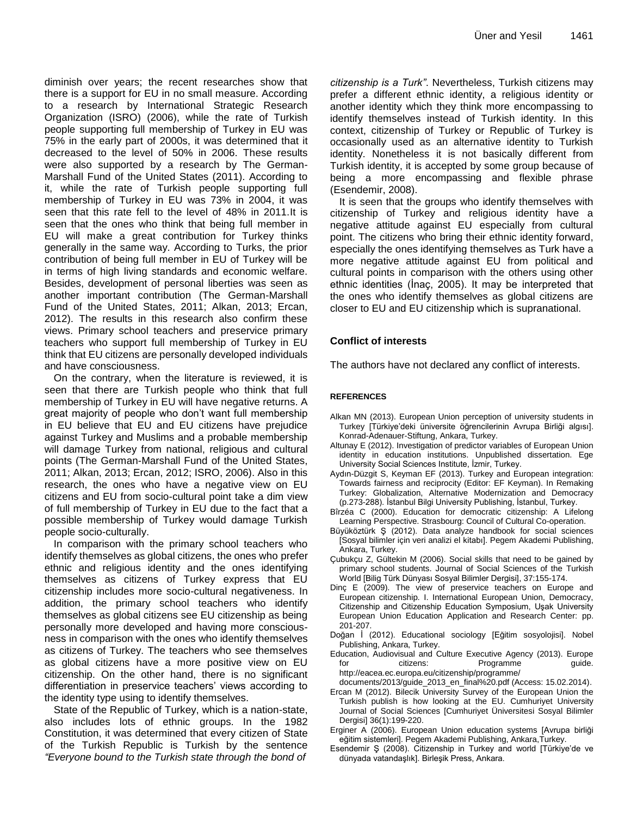diminish over years; the recent researches show that there is a support for EU in no small measure. According to a research by International Strategic Research Organization (ISRO) (2006), while the rate of Turkish people supporting full membership of Turkey in EU was 75% in the early part of 2000s, it was determined that it decreased to the level of 50% in 2006. These results were also supported by a research by The German-Marshall Fund of the United States (2011). According to it, while the rate of Turkish people supporting full membership of Turkey in EU was 73% in 2004, it was seen that this rate fell to the level of 48% in 2011.It is seen that the ones who think that being full member in EU will make a great contribution for Turkey thinks generally in the same way. According to Turks, the prior contribution of being full member in EU of Turkey will be in terms of high living standards and economic welfare. Besides, development of personal liberties was seen as another important contribution (The German-Marshall Fund of the United States, 2011; Alkan, 2013; Ercan, 2012). The results in this research also confirm these views. Primary school teachers and preservice primary teachers who support full membership of Turkey in EU think that EU citizens are personally developed individuals and have consciousness.

On the contrary, when the literature is reviewed, it is seen that there are Turkish people who think that full membership of Turkey in EU will have negative returns. A great majority of people who don't want full membership in EU believe that EU and EU citizens have prejudice against Turkey and Muslims and a probable membership will damage Turkey from national, religious and cultural points (The German-Marshall Fund of the United States, 2011; Alkan, 2013; Ercan, 2012; ISRO, 2006). Also in this research, the ones who have a negative view on EU citizens and EU from socio-cultural point take a dim view of full membership of Turkey in EU due to the fact that a possible membership of Turkey would damage Turkish people socio-culturally.

In comparison with the primary school teachers who identify themselves as global citizens, the ones who prefer ethnic and religious identity and the ones identifying themselves as citizens of Turkey express that EU citizenship includes more socio-cultural negativeness. In addition, the primary school teachers who identify themselves as global citizens see EU citizenship as being personally more developed and having more consciousness in comparison with the ones who identify themselves as citizens of Turkey. The teachers who see themselves as global citizens have a more positive view on EU citizenship. On the other hand, there is no significant differentiation in preservice teachers' views according to the identity type using to identify themselves.

State of the Republic of Turkey, which is a nation-state, also includes lots of ethnic groups. In the 1982 Constitution, it was determined that every citizen of State of the Turkish Republic is Turkish by the sentence *"Everyone bound to the Turkish state through the bond of* 

*citizenship is a Turk"*. Nevertheless, Turkish citizens may prefer a different ethnic identity, a religious identity or another identity which they think more encompassing to identify themselves instead of Turkish identity. In this context, citizenship of Turkey or Republic of Turkey is occasionally used as an alternative identity to Turkish identity. Nonetheless it is not basically different from Turkish identity, it is accepted by some group because of being a more encompassing and flexible phrase (Esendemir, 2008).

It is seen that the groups who identify themselves with citizenship of Turkey and religious identity have a negative attitude against EU especially from cultural point. The citizens who bring their ethnic identity forward, especially the ones identifying themselves as Turk have a more negative attitude against EU from political and cultural points in comparison with the others using other ethnic identities (İnaç, 2005). It may be interpreted that the ones who identify themselves as global citizens are closer to EU and EU citizenship which is supranational.

## **Conflict of interests**

The authors have not declared any conflict of interests.

#### **REFERENCES**

- Alkan MN (2013). European Union perception of university students in Turkey [Türkiye'deki üniversite öğrencilerinin Avrupa Birliği algısı]. Konrad-Adenauer-Stiftung, Ankara, Turkey.
- Altunay E (2012). Investigation of predictor variables of European Union identity in education institutions. Unpublished dissertation. Ege University Social Sciences Institute, İzmir, Turkey.
- Aydın-Düzgit S, Keyman EF (2013). Turkey and European integration: Towards fairness and reciprocity (Editor: EF Keyman). In Remaking Turkey: Globalization, Alternative Modernization and Democracy (p.273-288). İstanbul Bilgi University Publishing, İstanbul, Turkey.
- Bîrzéa C (2000). Education for democratic citizenship: A Lifelong Learning Perspective. Strasbourg: Council of Cultural Co-operation.
- Büyüköztürk Ş (2012). Data analyze handbook for social sciences [Sosyal bilimler için veri analizi el kitabı]. Pegem Akademi Publishing, Ankara, Turkey.
- Çubukçu Z, Gültekin M (2006). Social skills that need to be gained by primary school students. Journal of Social Sciences of the Turkish World [Bilig Türk Dünyası Sosyal Bilimler Dergisi], 37:155-174.
- Dinç E (2009). The view of preservice teachers on Europe and European citizenship. I. International European Union, Democracy, Citizenship and Citizenship Education Symposium, Uşak University European Union Education Application and Research Center: pp. 201-207.
- Doğan İ (2012). Educational sociology [Eğitim sosyolojisi]. Nobel Publishing, Ankara, Turkey.
- Education, Audiovisual and Culture Executive Agency (2013). Europe for citizens: Programme guide. http://eacea.ec.europa.eu/citizenship/programme/
- documents/2013/guide\_2013\_en\_final%20.pdf (Access: 15.02.2014). Ercan M (2012). Bilecik University Survey of the European Union the Turkish publish is how looking at the EU. Cumhuriyet University Journal of Social Sciences [Cumhuriyet Üniversitesi Sosyal Bilimler
- Dergisi] 36(1):199-220. Erginer A (2006). European Union education systems [Avrupa birliği eğitim sistemleri]. Pegem Akademi Publishing, Ankara,Turkey.
- Esendemir Ş (2008). Citizenship in Turkey and world [Türkiye'de ve dünyada vatandaşlık]. Birleşik Press, Ankara.